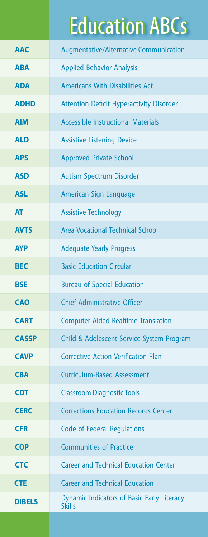## Education ABCs

| <b>AAC</b>    | <b>Augmentative/Alternative Communication</b>                      |
|---------------|--------------------------------------------------------------------|
| <b>ABA</b>    | <b>Applied Behavior Analysis</b>                                   |
| <b>ADA</b>    | <b>Americans With Disabilities Act</b>                             |
| <b>ADHD</b>   | <b>Attention Deficit Hyperactivity Disorder</b>                    |
| <b>AIM</b>    | <b>Accessible Instructional Materials</b>                          |
| <b>ALD</b>    | <b>Assistive Listening Device</b>                                  |
| <b>APS</b>    | <b>Approved Private School</b>                                     |
| <b>ASD</b>    | <b>Autism Spectrum Disorder</b>                                    |
| <b>ASL</b>    | American Sign Language                                             |
| <b>AT</b>     | <b>Assistive Technology</b>                                        |
| <b>AVTS</b>   | <b>Area Vocational Technical School</b>                            |
| <b>AYP</b>    | <b>Adequate Yearly Progress</b>                                    |
| <b>BEC</b>    | <b>Basic Education Circular</b>                                    |
| <b>BSE</b>    | <b>Bureau of Special Education</b>                                 |
| <b>CAO</b>    | <b>Chief Administrative Officer</b>                                |
| <b>CART</b>   | <b>Computer Aided Realtime Translation</b>                         |
| <b>CASSP</b>  | Child & Adolescent Service System Program                          |
| <b>CAVP</b>   | <b>Corrective Action Verification Plan</b>                         |
| <b>CBA</b>    | <b>Curriculum-Based Assessment</b>                                 |
| <b>CDT</b>    | <b>Classroom Diagnostic Tools</b>                                  |
| <b>CERC</b>   | <b>Corrections Education Records Center</b>                        |
| <b>CFR</b>    | <b>Code of Federal Regulations</b>                                 |
| <b>COP</b>    | <b>Communities of Practice</b>                                     |
| <b>CTC</b>    | <b>Career and Technical Education Center</b>                       |
| <b>CTE</b>    | <b>Career and Technical Education</b>                              |
| <b>DIBELS</b> | <b>Dynamic Indicators of Basic Early Literacy</b><br><b>Skills</b> |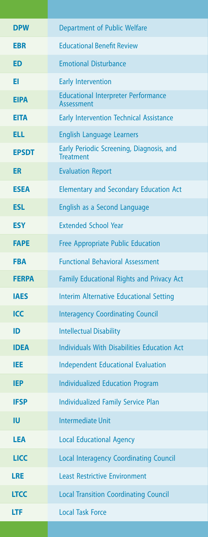| <b>DPW</b>   | <b>Department of Public Welfare</b>                             |
|--------------|-----------------------------------------------------------------|
| <b>EBR</b>   | <b>Educational Benefit Review</b>                               |
| <b>ED</b>    | <b>Emotional Disturbance</b>                                    |
| EI           | <b>Early Intervention</b>                                       |
| <b>EIPA</b>  | <b>Educational Interpreter Performance</b><br><b>Assessment</b> |
| <b>EITA</b>  | <b>Early Intervention Technical Assistance</b>                  |
| <b>ELL</b>   | <b>English Language Learners</b>                                |
| <b>EPSDT</b> | Early Periodic Screening, Diagnosis, and<br><b>Treatment</b>    |
| <b>ER</b>    | <b>Evaluation Report</b>                                        |
| <b>ESEA</b>  | <b>Elementary and Secondary Education Act</b>                   |
| <b>ESL</b>   | English as a Second Language                                    |
| <b>ESY</b>   | <b>Extended School Year</b>                                     |
| <b>FAPE</b>  | <b>Free Appropriate Public Education</b>                        |
| <b>FBA</b>   | <b>Functional Behavioral Assessment</b>                         |
| <b>FERPA</b> | Family Educational Rights and Privacy Act                       |
| <b>IAES</b>  | <b>Interim Alternative Educational Setting</b>                  |
| <b>ICC</b>   | <b>Interagency Coordinating Council</b>                         |
| ID           | <b>Intellectual Disability</b>                                  |
| <b>IDEA</b>  | <b>Individuals With Disabilities Education Act</b>              |
| <b>IEE</b>   | <b>Independent Educational Evaluation</b>                       |
| <b>IEP</b>   | <b>Individualized Education Program</b>                         |
| <b>IFSP</b>  | <b>Individualized Family Service Plan</b>                       |
| IU           | <b>Intermediate Unit</b>                                        |
| <b>LEA</b>   | <b>Local Educational Agency</b>                                 |
| <b>LICC</b>  | <b>Local Interagency Coordinating Council</b>                   |
| <b>LRE</b>   | <b>Least Restrictive Environment</b>                            |
| <b>LTCC</b>  | <b>Local Transition Coordinating Council</b>                    |
| <b>LTF</b>   | <b>Local Task Force</b>                                         |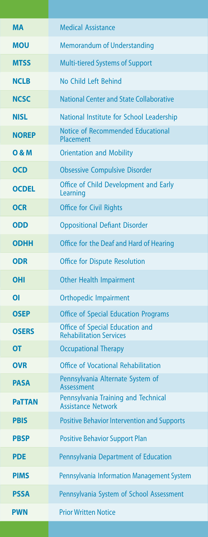| <b>Medical Assistance</b><br><b>MA</b><br><b>MOU</b><br><b>Memorandum of Understanding</b><br><b>Multi-tiered Systems of Support</b><br><b>MTSS</b><br>No Child Left Behind<br><b>NCLB</b><br><b>NCSC</b><br><b>National Center and State Collaborative</b><br>National Institute for School Leadership<br><b>NISL</b><br>Notice of Recommended Educational<br><b>NOREP</b><br>Placement<br><b>O&amp;M</b><br><b>Orientation and Mobility</b><br><b>OCD</b><br><b>Obsessive Compulsive Disorder</b><br>Office of Child Development and Early<br><b>OCDEL</b><br>Learning<br><b>Office for Civil Rights</b><br><b>OCR</b><br><b>Oppositional Defiant Disorder</b><br><b>ODD</b><br><b>ODHH</b><br>Office for the Deaf and Hard of Hearing<br><b>Office for Dispute Resolution</b><br><b>ODR</b><br><b>Other Health Impairment</b><br><b>OHI</b><br><b>Orthopedic Impairment</b><br><b>OI</b><br><b>Office of Special Education Programs</b><br><b>OSEP</b><br>Office of Special Education and<br><b>OSERS</b><br><b>Rehabilitation Services</b><br><b>OT</b><br><b>Occupational Therapy</b><br>Office of Vocational Rehabilitation<br><b>OVR</b><br>Pennsylvania Alternate System of<br><b>PASA</b><br>Assessment<br>Pennsylvania Training and Technical<br><b>PaTTAN</b><br><b>Assistance Network</b><br><b>PBIS</b><br><b>Positive Behavior Intervention and Supports</b><br><b>Positive Behavior Support Plan</b><br><b>PBSP</b><br><b>PDE</b><br>Pennsylvania Department of Education<br>Pennsylvania Information Management System<br><b>PIMS</b><br>Pennsylvania System of School Assessment<br><b>PSSA</b><br><b>Prior Written Notice</b><br><b>PWN</b> |  |
|---------------------------------------------------------------------------------------------------------------------------------------------------------------------------------------------------------------------------------------------------------------------------------------------------------------------------------------------------------------------------------------------------------------------------------------------------------------------------------------------------------------------------------------------------------------------------------------------------------------------------------------------------------------------------------------------------------------------------------------------------------------------------------------------------------------------------------------------------------------------------------------------------------------------------------------------------------------------------------------------------------------------------------------------------------------------------------------------------------------------------------------------------------------------------------------------------------------------------------------------------------------------------------------------------------------------------------------------------------------------------------------------------------------------------------------------------------------------------------------------------------------------------------------------------------------------------------------------------------------------------------------------------------------|--|
|                                                                                                                                                                                                                                                                                                                                                                                                                                                                                                                                                                                                                                                                                                                                                                                                                                                                                                                                                                                                                                                                                                                                                                                                                                                                                                                                                                                                                                                                                                                                                                                                                                                               |  |
|                                                                                                                                                                                                                                                                                                                                                                                                                                                                                                                                                                                                                                                                                                                                                                                                                                                                                                                                                                                                                                                                                                                                                                                                                                                                                                                                                                                                                                                                                                                                                                                                                                                               |  |
|                                                                                                                                                                                                                                                                                                                                                                                                                                                                                                                                                                                                                                                                                                                                                                                                                                                                                                                                                                                                                                                                                                                                                                                                                                                                                                                                                                                                                                                                                                                                                                                                                                                               |  |
|                                                                                                                                                                                                                                                                                                                                                                                                                                                                                                                                                                                                                                                                                                                                                                                                                                                                                                                                                                                                                                                                                                                                                                                                                                                                                                                                                                                                                                                                                                                                                                                                                                                               |  |
|                                                                                                                                                                                                                                                                                                                                                                                                                                                                                                                                                                                                                                                                                                                                                                                                                                                                                                                                                                                                                                                                                                                                                                                                                                                                                                                                                                                                                                                                                                                                                                                                                                                               |  |
|                                                                                                                                                                                                                                                                                                                                                                                                                                                                                                                                                                                                                                                                                                                                                                                                                                                                                                                                                                                                                                                                                                                                                                                                                                                                                                                                                                                                                                                                                                                                                                                                                                                               |  |
|                                                                                                                                                                                                                                                                                                                                                                                                                                                                                                                                                                                                                                                                                                                                                                                                                                                                                                                                                                                                                                                                                                                                                                                                                                                                                                                                                                                                                                                                                                                                                                                                                                                               |  |
|                                                                                                                                                                                                                                                                                                                                                                                                                                                                                                                                                                                                                                                                                                                                                                                                                                                                                                                                                                                                                                                                                                                                                                                                                                                                                                                                                                                                                                                                                                                                                                                                                                                               |  |
|                                                                                                                                                                                                                                                                                                                                                                                                                                                                                                                                                                                                                                                                                                                                                                                                                                                                                                                                                                                                                                                                                                                                                                                                                                                                                                                                                                                                                                                                                                                                                                                                                                                               |  |
|                                                                                                                                                                                                                                                                                                                                                                                                                                                                                                                                                                                                                                                                                                                                                                                                                                                                                                                                                                                                                                                                                                                                                                                                                                                                                                                                                                                                                                                                                                                                                                                                                                                               |  |
|                                                                                                                                                                                                                                                                                                                                                                                                                                                                                                                                                                                                                                                                                                                                                                                                                                                                                                                                                                                                                                                                                                                                                                                                                                                                                                                                                                                                                                                                                                                                                                                                                                                               |  |
|                                                                                                                                                                                                                                                                                                                                                                                                                                                                                                                                                                                                                                                                                                                                                                                                                                                                                                                                                                                                                                                                                                                                                                                                                                                                                                                                                                                                                                                                                                                                                                                                                                                               |  |
|                                                                                                                                                                                                                                                                                                                                                                                                                                                                                                                                                                                                                                                                                                                                                                                                                                                                                                                                                                                                                                                                                                                                                                                                                                                                                                                                                                                                                                                                                                                                                                                                                                                               |  |
|                                                                                                                                                                                                                                                                                                                                                                                                                                                                                                                                                                                                                                                                                                                                                                                                                                                                                                                                                                                                                                                                                                                                                                                                                                                                                                                                                                                                                                                                                                                                                                                                                                                               |  |
|                                                                                                                                                                                                                                                                                                                                                                                                                                                                                                                                                                                                                                                                                                                                                                                                                                                                                                                                                                                                                                                                                                                                                                                                                                                                                                                                                                                                                                                                                                                                                                                                                                                               |  |
|                                                                                                                                                                                                                                                                                                                                                                                                                                                                                                                                                                                                                                                                                                                                                                                                                                                                                                                                                                                                                                                                                                                                                                                                                                                                                                                                                                                                                                                                                                                                                                                                                                                               |  |
|                                                                                                                                                                                                                                                                                                                                                                                                                                                                                                                                                                                                                                                                                                                                                                                                                                                                                                                                                                                                                                                                                                                                                                                                                                                                                                                                                                                                                                                                                                                                                                                                                                                               |  |
|                                                                                                                                                                                                                                                                                                                                                                                                                                                                                                                                                                                                                                                                                                                                                                                                                                                                                                                                                                                                                                                                                                                                                                                                                                                                                                                                                                                                                                                                                                                                                                                                                                                               |  |
|                                                                                                                                                                                                                                                                                                                                                                                                                                                                                                                                                                                                                                                                                                                                                                                                                                                                                                                                                                                                                                                                                                                                                                                                                                                                                                                                                                                                                                                                                                                                                                                                                                                               |  |
|                                                                                                                                                                                                                                                                                                                                                                                                                                                                                                                                                                                                                                                                                                                                                                                                                                                                                                                                                                                                                                                                                                                                                                                                                                                                                                                                                                                                                                                                                                                                                                                                                                                               |  |
|                                                                                                                                                                                                                                                                                                                                                                                                                                                                                                                                                                                                                                                                                                                                                                                                                                                                                                                                                                                                                                                                                                                                                                                                                                                                                                                                                                                                                                                                                                                                                                                                                                                               |  |
|                                                                                                                                                                                                                                                                                                                                                                                                                                                                                                                                                                                                                                                                                                                                                                                                                                                                                                                                                                                                                                                                                                                                                                                                                                                                                                                                                                                                                                                                                                                                                                                                                                                               |  |
|                                                                                                                                                                                                                                                                                                                                                                                                                                                                                                                                                                                                                                                                                                                                                                                                                                                                                                                                                                                                                                                                                                                                                                                                                                                                                                                                                                                                                                                                                                                                                                                                                                                               |  |
|                                                                                                                                                                                                                                                                                                                                                                                                                                                                                                                                                                                                                                                                                                                                                                                                                                                                                                                                                                                                                                                                                                                                                                                                                                                                                                                                                                                                                                                                                                                                                                                                                                                               |  |
|                                                                                                                                                                                                                                                                                                                                                                                                                                                                                                                                                                                                                                                                                                                                                                                                                                                                                                                                                                                                                                                                                                                                                                                                                                                                                                                                                                                                                                                                                                                                                                                                                                                               |  |
|                                                                                                                                                                                                                                                                                                                                                                                                                                                                                                                                                                                                                                                                                                                                                                                                                                                                                                                                                                                                                                                                                                                                                                                                                                                                                                                                                                                                                                                                                                                                                                                                                                                               |  |
|                                                                                                                                                                                                                                                                                                                                                                                                                                                                                                                                                                                                                                                                                                                                                                                                                                                                                                                                                                                                                                                                                                                                                                                                                                                                                                                                                                                                                                                                                                                                                                                                                                                               |  |
|                                                                                                                                                                                                                                                                                                                                                                                                                                                                                                                                                                                                                                                                                                                                                                                                                                                                                                                                                                                                                                                                                                                                                                                                                                                                                                                                                                                                                                                                                                                                                                                                                                                               |  |